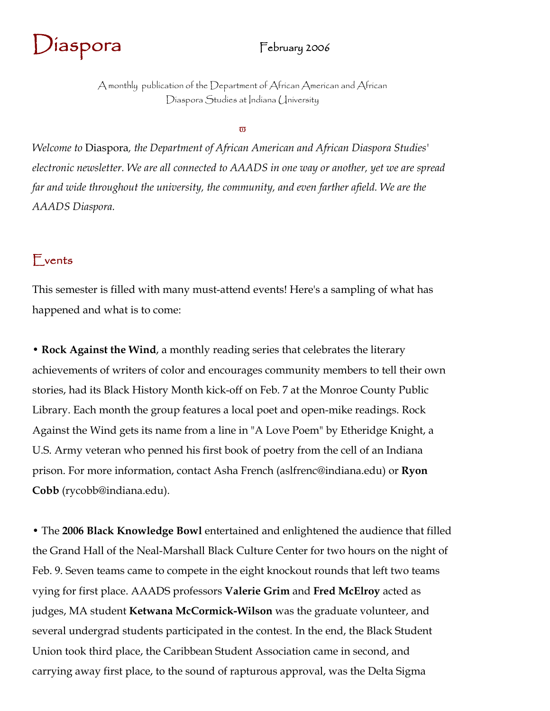

A monthly publication of the Department of African American and African Diaspora Studies at Indiana (Iniversity

 $\pi$ 

*Welcome to* Diaspora*, the Department of African American and African Diaspora Studies' electronic newsletter. We are all connected to AAADS in one way or another, yet we are spread far and wide throughout the university, the community, and even farther afield. We are the AAADS Diaspora.* 

### Events

This semester is filled with many must-attend events! Here's a sampling of what has happened and what is to come:

• **Rock Against the Wind**, a monthly reading series that celebrates the literary achievements of writers of color and encourages community members to tell their own stories, had its Black History Month kick-off on Feb. 7 at the Monroe County Public Library. Each month the group features a local poet and open-mike readings. Rock Against the Wind gets its name from a line in "A Love Poem" by Etheridge Knight, a U.S. Army veteran who penned his first book of poetry from the cell of an Indiana prison. For more information, contact Asha French (aslfrenc@indiana.edu) or **Ryon Cobb** (rycobb@indiana.edu).

• The **2006 Black Knowledge Bowl** entertained and enlightened the audience that filled the Grand Hall of the Neal-Marshall Black Culture Center for two hours on the night of Feb. 9. Seven teams came to compete in the eight knockout rounds that left two teams vying for first place. AAADS professors **Valerie Grim** and **Fred McElroy** acted as judges, MA student **Ketwana McCormick-Wilson** was the graduate volunteer, and several undergrad students participated in the contest. In the end, the Black Student Union took third place, the Caribbean Student Association came in second, and carrying away first place, to the sound of rapturous approval, was the Delta Sigma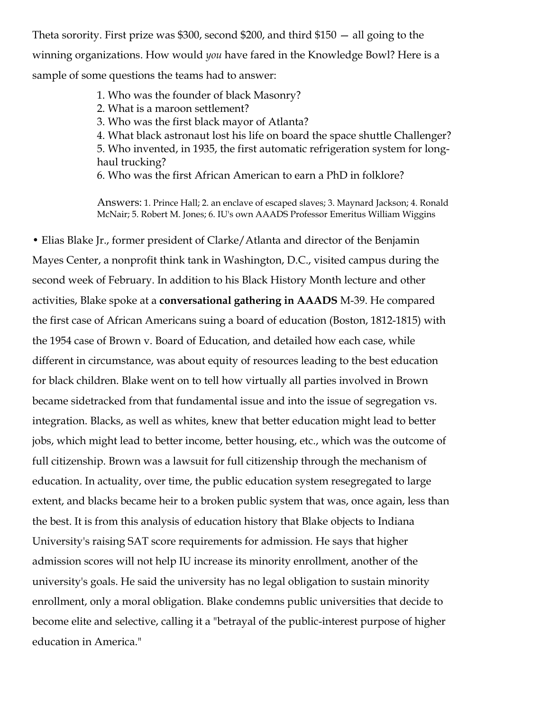Theta sorority. First prize was \$300, second \$200, and third \$150 — all going to the winning organizations. How would *you* have fared in the Knowledge Bowl? Here is a sample of some questions the teams had to answer:

> 1. Who was the founder of black Masonry? 2. What is a maroon settlement? 3. Who was the first black mayor of Atlanta? 4. What black astronaut lost his life on board the space shuttle Challenger? 5. Who invented, in 1935, the first automatic refrigeration system for longhaul trucking? 6. Who was the first African American to earn a PhD in folklore?

> Answers: 1. Prince Hall; 2. an enclave of escaped slaves; 3. Maynard Jackson; 4. Ronald McNair; 5. Robert M. Jones; 6. IU's own AAADS Professor Emeritus William Wiggins

• Elias Blake Jr., former president of Clarke/Atlanta and director of the Benjamin Mayes Center, a nonprofit think tank in Washington, D.C., visited campus during the second week of February. In addition to his Black History Month lecture and other activities, Blake spoke at a **conversational gathering in AAADS** M-39. He compared the first case of African Americans suing a board of education (Boston, 1812-1815) with the 1954 case of Brown v. Board of Education, and detailed how each case, while different in circumstance, was about equity of resources leading to the best education for black children. Blake went on to tell how virtually all parties involved in Brown became sidetracked from that fundamental issue and into the issue of segregation vs. integration. Blacks, as well as whites, knew that better education might lead to better jobs, which might lead to better income, better housing, etc., which was the outcome of full citizenship. Brown was a lawsuit for full citizenship through the mechanism of education. In actuality, over time, the public education system resegregated to large extent, and blacks became heir to a broken public system that was, once again, less than the best. It is from this analysis of education history that Blake objects to Indiana University's raising SAT score requirements for admission. He says that higher admission scores will not help IU increase its minority enrollment, another of the university's goals. He said the university has no legal obligation to sustain minority enrollment, only a moral obligation. Blake condemns public universities that decide to become elite and selective, calling it a "betrayal of the public-interest purpose of higher education in America."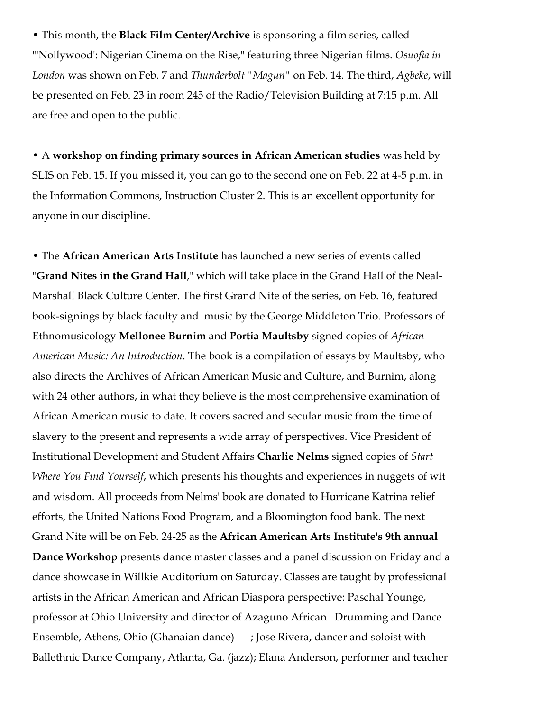• This month, the **Black Film Center/Archive** is sponsoring a film series, called "'Nollywood': Nigerian Cinema on the Rise," featuring three Nigerian films. *Osuofia in London* was shown on Feb. 7 and *Thunderbolt "Magun"* on Feb. 14. The third, *Agbeke*, will be presented on Feb. 23 in room 245 of the Radio/Television Building at 7:15 p.m. All are free and open to the public.

• A **workshop on finding primary sources in African American studies** was held by SLIS on Feb. 15. If you missed it, you can go to the second one on Feb. 22 at 4-5 p.m. in the Information Commons, Instruction Cluster 2. This is an excellent opportunity for anyone in our discipline.

• The **African American Arts Institute** has launched a new series of events called "**Grand Nites in the Grand Hall**," which will take place in the Grand Hall of the Neal-Marshall Black Culture Center. The first Grand Nite of the series, on Feb. 16, featured book-signings by black faculty and music by the George Middleton Trio. Professors of Ethnomusicology **Mellonee Burnim** and **Portia Maultsby** signed copies of *African American Music: An Introduction*. The book is a compilation of essays by Maultsby, who also directs the Archives of African American Music and Culture, and Burnim, along with 24 other authors, in what they believe is the most comprehensive examination of African American music to date. It covers sacred and secular music from the time of slavery to the present and represents a wide array of perspectives. Vice President of Institutional Development and Student Affairs **Charlie Nelms** signed copies of *Start Where You Find Yourself*, which presents his thoughts and experiences in nuggets of wit and wisdom. All proceeds from Nelms' book are donated to Hurricane Katrina relief efforts, the United Nations Food Program, and a Bloomington food bank. The next Grand Nite will be on Feb. 24-25 as the **African American Arts Institute's 9th annual Dance Workshop** presents dance master classes and a panel discussion on Friday and a dance showcase in Willkie Auditorium on Saturday. Classes are taught by professional artists in the African American and African Diaspora perspective: Paschal Younge, professor at Ohio University and director of Azaguno African Drumming and Dance Ensemble, Athens, Ohio (Ghanaian dance) ; Jose Rivera, dancer and soloist with Ballethnic Dance Company, Atlanta, Ga. (jazz); Elana Anderson, performer and teacher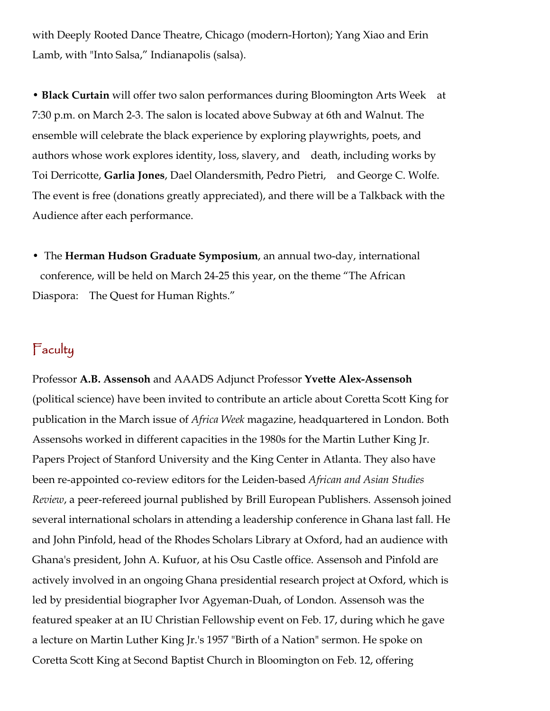with Deeply Rooted Dance Theatre, Chicago (modern-Horton); Yang Xiao and Erin Lamb, with "Into Salsa," Indianapolis (salsa).

• **Black Curtain** will offer two salon performances during Bloomington Arts Week at 7:30 p.m. on March 2-3. The salon is located above Subway at 6th and Walnut. The ensemble will celebrate the black experience by exploring playwrights, poets, and authors whose work explores identity, loss, slavery, and death, including works by Toi Derricotte, **Garlia Jones**, Dael Olandersmith, Pedro Pietri, and George C. Wolfe. The event is free (donations greatly appreciated), and there will be a Talkback with the Audience after each performance.

• The **Herman Hudson Graduate Symposium**, an annual two-day, international conference, will be held on March 24-25 this year, on the theme "The African Diaspora: The Quest for Human Rights."

## Faculty

Professor **A.B. Assensoh** and AAADS Adjunct Professor **Yvette Alex-Assensoh** (political science) have been invited to contribute an article about Coretta Scott King for publication in the March issue of *Africa Week* magazine, headquartered in London. Both Assensohs worked in different capacities in the 1980s for the Martin Luther King Jr. Papers Project of Stanford University and the King Center in Atlanta. They also have been re-appointed co-review editors for the Leiden-based *African and Asian Studies Review*, a peer-refereed journal published by Brill European Publishers. Assensoh joined several international scholars in attending a leadership conference in Ghana last fall. He and John Pinfold, head of the Rhodes Scholars Library at Oxford, had an audience with Ghana's president, John A. Kufuor, at his Osu Castle office. Assensoh and Pinfold are actively involved in an ongoing Ghana presidential research project at Oxford, which is led by presidential biographer Ivor Agyeman-Duah, of London. Assensoh was the featured speaker at an IU Christian Fellowship event on Feb. 17, during which he gave a lecture on Martin Luther King Jr.'s 1957 "Birth of a Nation" sermon. He spoke on Coretta Scott King at Second Baptist Church in Bloomington on Feb. 12, offering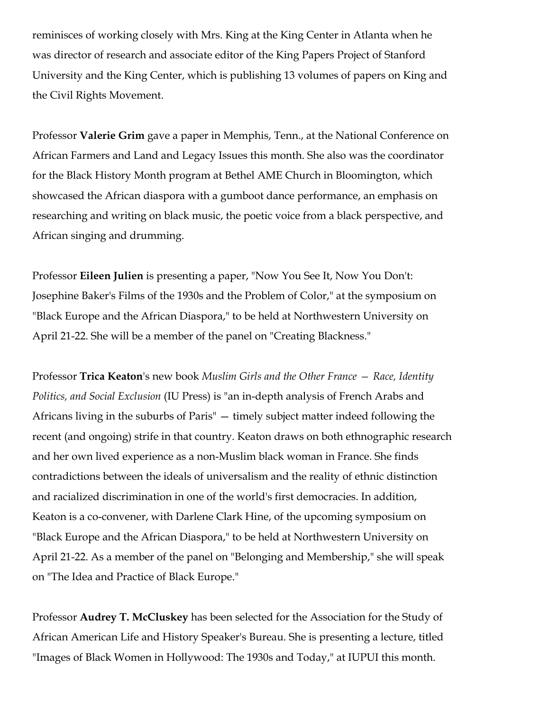reminisces of working closely with Mrs. King at the King Center in Atlanta when he was director of research and associate editor of the King Papers Project of Stanford University and the King Center, which is publishing 13 volumes of papers on King and the Civil Rights Movement.

Professor **Valerie Grim** gave a paper in Memphis, Tenn., at the National Conference on African Farmers and Land and Legacy Issues this month. She also was the coordinator for the Black History Month program at Bethel AME Church in Bloomington, which showcased the African diaspora with a gumboot dance performance, an emphasis on researching and writing on black music, the poetic voice from a black perspective, and African singing and drumming.

Professor **Eileen Julien** is presenting a paper, "Now You See It, Now You Don't: Josephine Baker's Films of the 1930s and the Problem of Color," at the symposium on "Black Europe and the African Diaspora," to be held at Northwestern University on April 21-22. She will be a member of the panel on "Creating Blackness."

Professor **Trica Keaton**'s new book *Muslim Girls and the Other France — Race, Identity Politics, and Social Exclusion* (IU Press) is "an in-depth analysis of French Arabs and Africans living in the suburbs of Paris" — timely subject matter indeed following the recent (and ongoing) strife in that country. Keaton draws on both ethnographic research and her own lived experience as a non-Muslim black woman in France. She finds contradictions between the ideals of universalism and the reality of ethnic distinction and racialized discrimination in one of the world's first democracies. In addition, Keaton is a co-convener, with Darlene Clark Hine, of the upcoming symposium on "Black Europe and the African Diaspora," to be held at Northwestern University on April 21-22. As a member of the panel on "Belonging and Membership," she will speak on "The Idea and Practice of Black Europe."

Professor **Audrey T. McCluskey** has been selected for the Association for the Study of African American Life and History Speaker's Bureau. She is presenting a lecture, titled "Images of Black Women in Hollywood: The 1930s and Today," at IUPUI this month.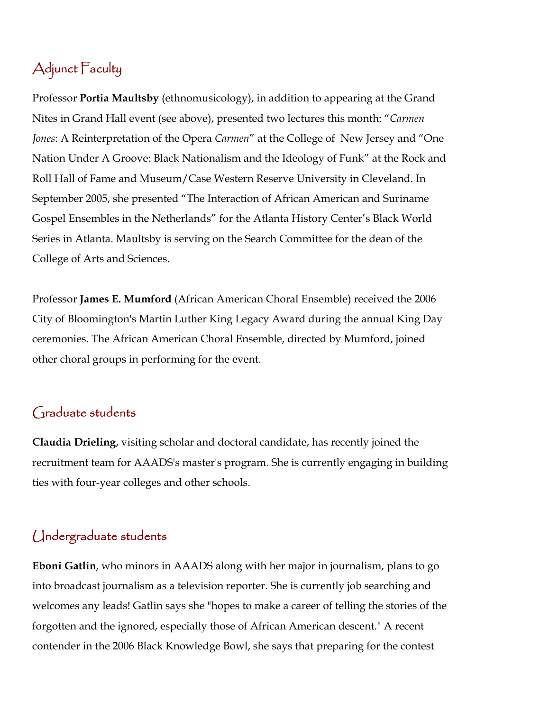# Adjunct Faculty

Professor **Portia Maultsby** (ethnomusicology), in addition to appearing at the Grand Nites in Grand Hall event (see above), presented two lectures this month: "*Carmen Jones*: A Reinterpretation of the Opera *Carmen*" at the College of New Jersey and "One Nation Under A Groove: Black Nationalism and the Ideology of Funk" at the Rock and Roll Hall of Fame and Museum/Case Western Reserve University in Cleveland. In September 2005, she presented "The Interaction of African American and Suriname Gospel Ensembles in the Netherlands" for the Atlanta History Center's Black World Series in Atlanta. Maultsby is serving on the Search Committee for the dean of the College of Arts and Sciences.

Professor **James E. Mumford** (African American Choral Ensemble) received the 2006 City of Bloomington's Martin Luther King Legacy Award during the annual King Day ceremonies. The African American Choral Ensemble, directed by Mumford, joined other choral groups in performing for the event.

## Graduate students

**Claudia Drieling**, visiting scholar and doctoral candidate, has recently joined the recruitment team for AAADS's master's program. She is currently engaging in building ties with four-year colleges and other schools.

## Undergraduate students

**Eboni Gatlin**, who minors in AAADS along with her major in journalism, plans to go into broadcast journalism as a television reporter. She is currently job searching and welcomes any leads! Gatlin says she "hopes to make a career of telling the stories of the forgotten and the ignored, especially those of African American descent." A recent contender in the 2006 Black Knowledge Bowl, she says that preparing for the contest